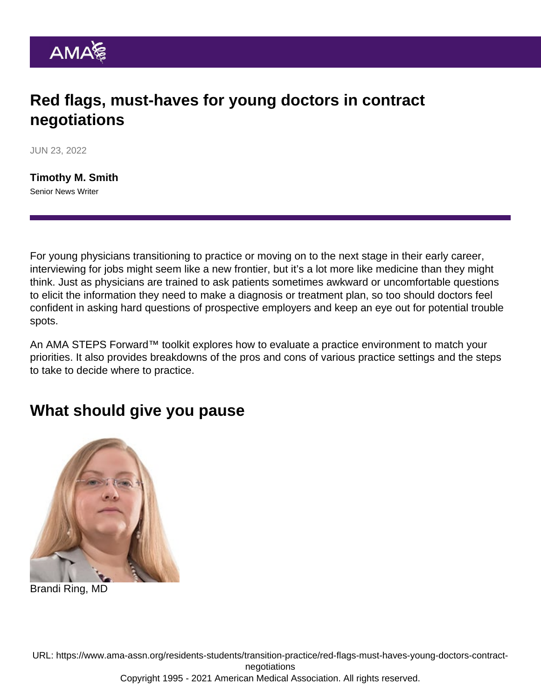## Red flags, must-haves for young doctors in contract negotiations

JUN 23, 2022

[Timothy M. Smith](https://www.ama-assn.org/news-leadership-viewpoints/authors-news-leadership-viewpoints/timothy-m-smith) Senior News Writer

For young physicians [transitioning to practice](https://www.ama-assn.org/series/transitioning-practice) or moving on to the next stage in their early career, interviewing for jobs might seem like a new frontier, but it's a lot more like medicine than they might think. Just as physicians are trained to ask patients sometimes awkward or uncomfortable questions to elicit the information they need to make a diagnosis or treatment plan, so too should doctors feel confident in asking hard questions of prospective employers and keep an eye out for potential trouble spots.

An [AMA STEPS Forward™ toolkit](https://edhub.ama-assn.org/steps-forward/module/2767098) explores how to evaluate a practice environment to match your priorities. It also provides breakdowns of the [pros and cons of various practice settings](https://www.ama-assn.org/residents-students/transition-practice/young-doctors-should-know-pros-cons-these-4-practice) and the [steps](https://www.ama-assn.org/residents-students/transition-practice/8-steps-physicians-can-take-when-deciding-where-practice) [to take to decide where to practice.](https://www.ama-assn.org/residents-students/transition-practice/8-steps-physicians-can-take-when-deciding-where-practice)

## What should give you pause

Brandi Ring, MD

URL: [https://www.ama-assn.org/residents-students/transition-practice/red-flags-must-haves-young-doctors-contract](https://www.ama-assn.org/residents-students/transition-practice/red-flags-must-haves-young-doctors-contract-negotiations)[negotiations](https://www.ama-assn.org/residents-students/transition-practice/red-flags-must-haves-young-doctors-contract-negotiations) Copyright 1995 - 2021 American Medical Association. All rights reserved.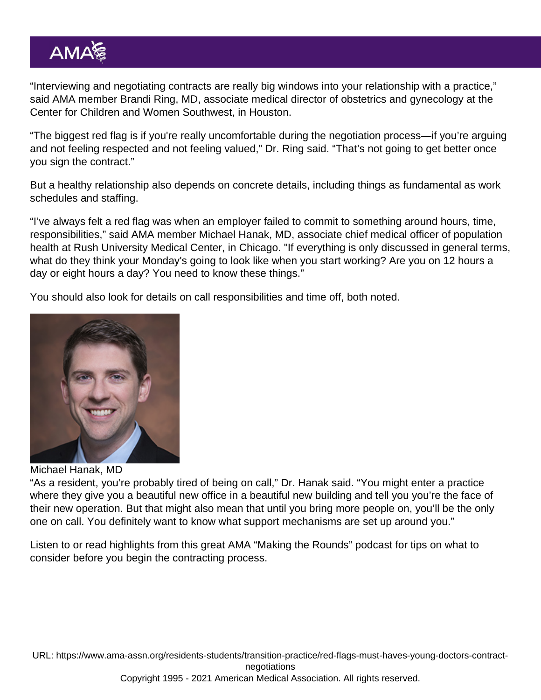"Interviewing and negotiating contracts are really big windows into your relationship with a practice," said AMA member [Brandi Ring, MD](https://www.ama-assn.org/residents-students/specialty-profiles/what-it-s-specialize-gynecology-shadowing-dr-ring), associate medical director of obstetrics and gynecology at the Center for Children and Women Southwest, in Houston.

"The biggest red flag is if you're really uncomfortable during the negotiation process—if you're arguing and not feeling respected and not feeling valued," Dr. Ring said. "That's not going to get better once you sign the contract."

But a healthy relationship also depends on concrete details, including things as fundamental as work schedules and staffing.

"I've always felt a red flag was when an employer failed to commit to something around hours, time, responsibilities," said AMA member Michael Hanak, MD, associate chief medical officer of population health at Rush University Medical Center, in Chicago. "If everything is only discussed in general terms, what do they think your Monday's going to look like when you start working? Are you on 12 hours a day or eight hours a day? You need to know these things."

You should also look for details on call responsibilities and time off, both noted.

Michael Hanak, MD

"As a resident, you're probably tired of being on call," Dr. Hanak said. "You might enter a practice where they give you a beautiful new office in a beautiful new building and tell you you're the face of their new operation. But that might also mean that until you bring more people on, you'll be the only one on call. You definitely want to know what support mechanisms are set up around you."

Listen to or read highlights from this great AMA ["Making the Rounds"](https://podcasts.apple.com/us/podcast/making-the-rounds/id1434891498?mt=2) podcast for [tips on what to](https://www.ama-assn.org/residents-students/career-planning-resource/evaluating-prospective-employer) [consider before you begin the contracting process](https://www.ama-assn.org/residents-students/career-planning-resource/evaluating-prospective-employer).

URL: [https://www.ama-assn.org/residents-students/transition-practice/red-flags-must-haves-young-doctors-contract](https://www.ama-assn.org/residents-students/transition-practice/red-flags-must-haves-young-doctors-contract-negotiations)[negotiations](https://www.ama-assn.org/residents-students/transition-practice/red-flags-must-haves-young-doctors-contract-negotiations)